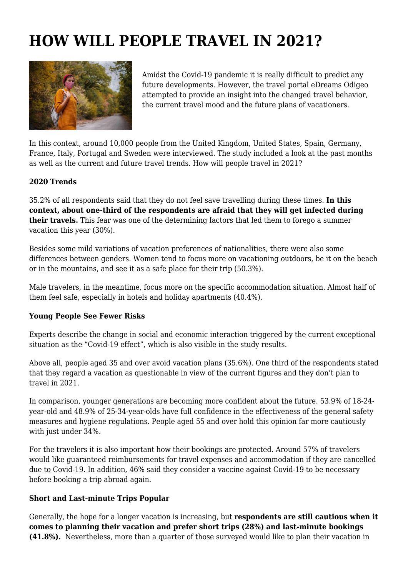## **HOW WILL PEOPLE TRAVEL IN 2021?**



Amidst the Covid-19 pandemic it is really difficult to predict any future developments. However, the travel portal eDreams Odigeo attempted to provide an insight into the changed travel behavior, the current travel mood and the future plans of vacationers.

In this context, around 10,000 people from the United Kingdom, United States, Spain, Germany, France, Italy, Portugal and Sweden were interviewed. The study included a look at the past months as well as the current and future travel trends. How will people travel in 2021?

## **2020 Trends**

35.2% of all respondents said that they do not feel save travelling during these times. **In this context, about one-third of the respondents are afraid that they will get infected during their travels.** This fear was one of the determining factors that led them to forego a summer vacation this year (30%).

Besides some mild variations of vacation preferences of nationalities, there were also some differences between genders. Women tend to focus more on vacationing outdoors, be it on the beach or in the mountains, and see it as a safe place for their trip (50.3%).

Male travelers, in the meantime, focus more on the specific accommodation situation. Almost half of them feel safe, especially in hotels and holiday apartments (40.4%).

## **Young People See Fewer Risks**

Experts describe the change in social and economic interaction triggered by the current exceptional situation as the "Covid-19 effect", which is also visible in the study results.

Above all, people aged 35 and over avoid vacation plans (35.6%). One third of the respondents stated that they regard a vacation as questionable in view of the current figures and they don't plan to travel in 2021.

In comparison, younger generations are becoming more confident about the future. 53.9% of 18-24 year-old and 48.9% of 25-34-year-olds have full confidence in the effectiveness of the general safety measures and hygiene regulations. People aged 55 and over hold this opinion far more cautiously with just under 34%.

For the travelers it is also important how their bookings are protected. Around 57% of travelers would like guaranteed reimbursements for travel expenses and accommodation if they are cancelled due to Covid-19. In addition, 46% said they consider a vaccine against Covid-19 to be necessary before booking a trip abroad again.

## **Short and Last-minute Trips Popular**

Generally, the hope for a longer vacation is increasing, but **respondents are still cautious when it comes to planning their vacation and prefer short trips (28%) and last-minute bookings (41.8%).** Nevertheless, more than a quarter of those surveyed would like to plan their vacation in